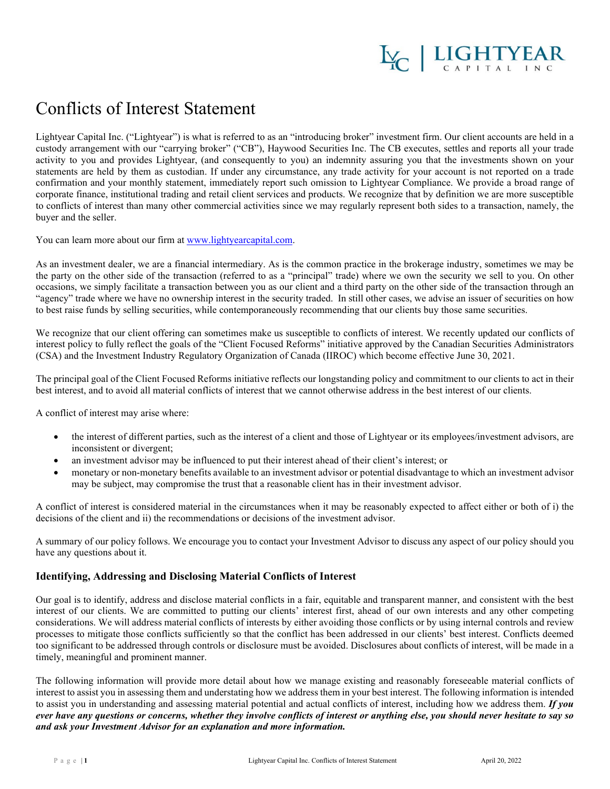

## Conflicts of Interest Statement

Lightyear Capital Inc. ("Lightyear") is what is referred to as an "introducing broker" investment firm. Our client accounts are held in a custody arrangement with our "carrying broker" ("CB"), Haywood Securities Inc. The CB executes, settles and reports all your trade activity to you and provides Lightyear, (and consequently to you) an indemnity assuring you that the investments shown on your statements are held by them as custodian. If under any circumstance, any trade activity for your account is not reported on a trade confirmation and your monthly statement, immediately report such omission to Lightyear Compliance. We provide a broad range of corporate finance, institutional trading and retail client services and products. We recognize that by definition we are more susceptible to conflicts of interest than many other commercial activities since we may regularly represent both sides to a transaction, namely, the buyer and the seller.

You can learn more about our firm a[t www.lightyearcapital.com.](http://www.lightyearcapital.com/)

As an investment dealer, we are a financial intermediary. As is the common practice in the brokerage industry, sometimes we may be the party on the other side of the transaction (referred to as a "principal" trade) where we own the security we sell to you. On other occasions, we simply facilitate a transaction between you as our client and a third party on the other side of the transaction through an "agency" trade where we have no ownership interest in the security traded. In still other cases, we advise an issuer of securities on how to best raise funds by selling securities, while contemporaneously recommending that our clients buy those same securities.

We recognize that our client offering can sometimes make us susceptible to conflicts of interest. We recently updated our conflicts of interest policy to fully reflect the goals of the "Client Focused Reforms" initiative approved by the Canadian Securities Administrators (CSA) and the Investment Industry Regulatory Organization of Canada (IIROC) which become effective June 30, 2021.

The principal goal of the Client Focused Reforms initiative reflects our longstanding policy and commitment to our clients to act in their best interest, and to avoid all material conflicts of interest that we cannot otherwise address in the best interest of our clients.

A conflict of interest may arise where:

- the interest of different parties, such as the interest of a client and those of Lightyear or its employees/investment advisors, are inconsistent or divergent;
- an investment advisor may be influenced to put their interest ahead of their client's interest; or
- monetary or non-monetary benefits available to an investment advisor or potential disadvantage to which an investment advisor may be subject, may compromise the trust that a reasonable client has in their investment advisor.

A conflict of interest is considered material in the circumstances when it may be reasonably expected to affect either or both of i) the decisions of the client and ii) the recommendations or decisions of the investment advisor.

A summary of our policy follows. We encourage you to contact your Investment Advisor to discuss any aspect of our policy should you have any questions about it.

## **Identifying, Addressing and Disclosing Material Conflicts of Interest**

Our goal is to identify, address and disclose material conflicts in a fair, equitable and transparent manner, and consistent with the best interest of our clients. We are committed to putting our clients' interest first, ahead of our own interests and any other competing considerations. We will address material conflicts of interests by either avoiding those conflicts or by using internal controls and review processes to mitigate those conflicts sufficiently so that the conflict has been addressed in our clients' best interest. Conflicts deemed too significant to be addressed through controls or disclosure must be avoided. Disclosures about conflicts of interest, will be made in a timely, meaningful and prominent manner.

The following information will provide more detail about how we manage existing and reasonably foreseeable material conflicts of interest to assist you in assessing them and understating how we address them in your best interest. The following information is intended to assist you in understanding and assessing material potential and actual conflicts of interest, including how we address them. *If you ever have any questions or concerns, whether they involve conflicts of interest or anything else, you should never hesitate to say so and ask your Investment Advisor for an explanation and more information.*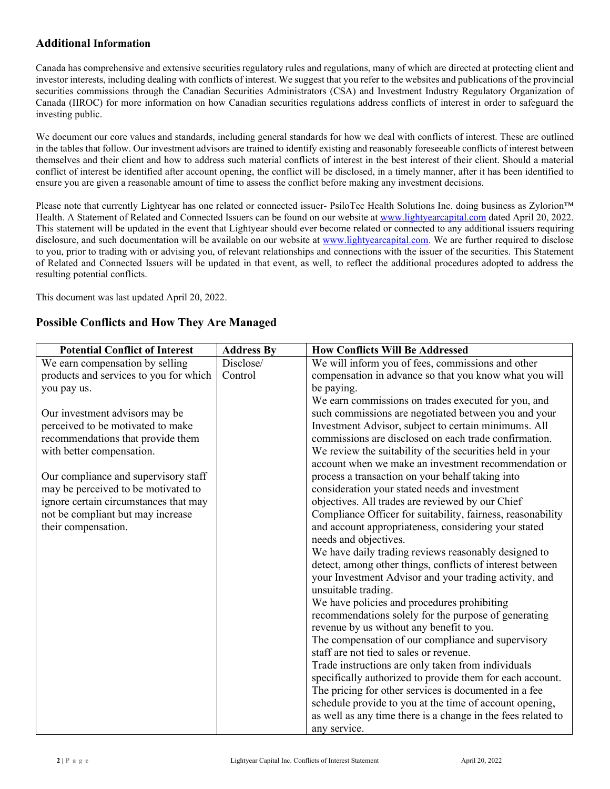## **Additional Information**

Canada has comprehensive and extensive securities regulatory rules and regulations, many of which are directed at protecting client and investor interests, including dealing with conflicts of interest. We suggest that you refer to the websites and publications of the provincial securities commissions through the Canadian Securities Administrators (CSA) and Investment Industry Regulatory Organization of Canada (IIROC) for more information on how Canadian securities regulations address conflicts of interest in order to safeguard the investing public.

We document our core values and standards, including general standards for how we deal with conflicts of interest. These are outlined in the tables that follow. Our investment advisors are trained to identify existing and reasonably foreseeable conflicts of interest between themselves and their client and how to address such material conflicts of interest in the best interest of their client. Should a material conflict of interest be identified after account opening, the conflict will be disclosed, in a timely manner, after it has been identified to ensure you are given a reasonable amount of time to assess the conflict before making any investment decisions.

Please note that currently Lightyear has one related or connected issuer- PsiloTec Health Solutions Inc. doing business as Zylorion™ Health. A Statement of Related and Connected Issuers can be found on our website at [www.lightyearcapital.com](http://www.lightyearcapital.com/) dated April 20, 2022. This statement will be updated in the event that Lightyear should ever become related or connected to any additional issuers requiring disclosure, and such documentation will be available on our website at [www.lightyearcapital.com.](http://www.lightyearcapital.com/) We are further required to disclose to you, prior to trading with or advising you, of relevant relationships and connections with the issuer of the securities. This Statement of Related and Connected Issuers will be updated in that event, as well, to reflect the additional procedures adopted to address the resulting potential conflicts.

This document was last updated April 20, 2022.

## **Possible Conflicts and How They Are Managed**

| <b>Potential Conflict of Interest</b>  | <b>Address By</b> | <b>How Conflicts Will Be Addressed</b>                       |
|----------------------------------------|-------------------|--------------------------------------------------------------|
| We earn compensation by selling        | Disclose/         | We will inform you of fees, commissions and other            |
| products and services to you for which | Control           | compensation in advance so that you know what you will       |
| you pay us.                            |                   | be paying.                                                   |
|                                        |                   | We earn commissions on trades executed for you, and          |
| Our investment advisors may be         |                   | such commissions are negotiated between you and your         |
| perceived to be motivated to make      |                   | Investment Advisor, subject to certain minimums. All         |
| recommendations that provide them      |                   | commissions are disclosed on each trade confirmation.        |
| with better compensation.              |                   | We review the suitability of the securities held in your     |
|                                        |                   | account when we make an investment recommendation or         |
| Our compliance and supervisory staff   |                   | process a transaction on your behalf taking into             |
| may be perceived to be motivated to    |                   | consideration your stated needs and investment               |
| ignore certain circumstances that may  |                   | objectives. All trades are reviewed by our Chief             |
| not be compliant but may increase      |                   | Compliance Officer for suitability, fairness, reasonability  |
| their compensation.                    |                   | and account appropriateness, considering your stated         |
|                                        |                   | needs and objectives.                                        |
|                                        |                   | We have daily trading reviews reasonably designed to         |
|                                        |                   | detect, among other things, conflicts of interest between    |
|                                        |                   | your Investment Advisor and your trading activity, and       |
|                                        |                   | unsuitable trading.                                          |
|                                        |                   | We have policies and procedures prohibiting                  |
|                                        |                   | recommendations solely for the purpose of generating         |
|                                        |                   | revenue by us without any benefit to you.                    |
|                                        |                   | The compensation of our compliance and supervisory           |
|                                        |                   | staff are not tied to sales or revenue.                      |
|                                        |                   | Trade instructions are only taken from individuals           |
|                                        |                   | specifically authorized to provide them for each account.    |
|                                        |                   | The pricing for other services is documented in a fee        |
|                                        |                   | schedule provide to you at the time of account opening,      |
|                                        |                   | as well as any time there is a change in the fees related to |
|                                        |                   | any service.                                                 |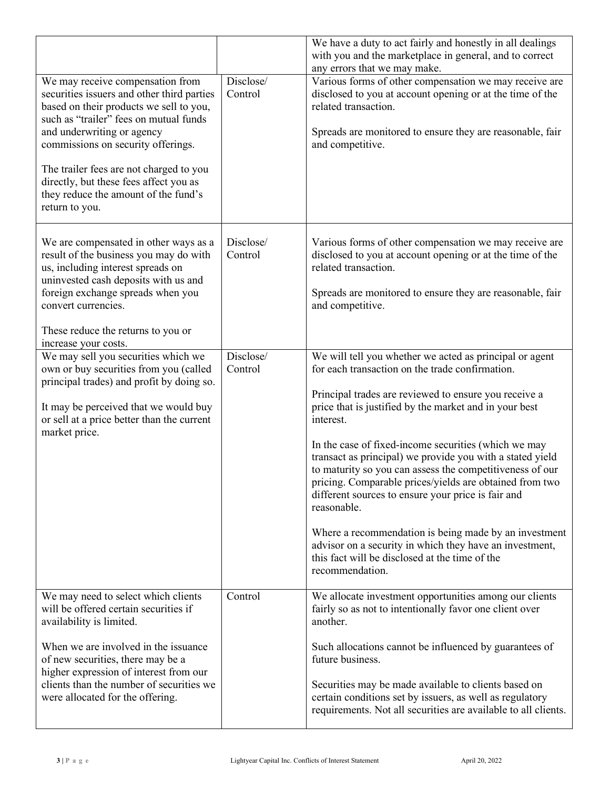|                                                                                                                                                                                                                                                                                                                                                                                        |                      | We have a duty to act fairly and honestly in all dealings<br>with you and the marketplace in general, and to correct<br>any errors that we may make.                                                                                                                                                                                                                                                                                                                                                                                                                                                                                   |
|----------------------------------------------------------------------------------------------------------------------------------------------------------------------------------------------------------------------------------------------------------------------------------------------------------------------------------------------------------------------------------------|----------------------|----------------------------------------------------------------------------------------------------------------------------------------------------------------------------------------------------------------------------------------------------------------------------------------------------------------------------------------------------------------------------------------------------------------------------------------------------------------------------------------------------------------------------------------------------------------------------------------------------------------------------------------|
| We may receive compensation from<br>securities issuers and other third parties<br>based on their products we sell to you,<br>such as "trailer" fees on mutual funds<br>and underwriting or agency<br>commissions on security offerings.<br>The trailer fees are not charged to you<br>directly, but these fees affect you as<br>they reduce the amount of the fund's<br>return to you. | Disclose/<br>Control | Various forms of other compensation we may receive are<br>disclosed to you at account opening or at the time of the<br>related transaction.<br>Spreads are monitored to ensure they are reasonable, fair<br>and competitive.                                                                                                                                                                                                                                                                                                                                                                                                           |
| We are compensated in other ways as a<br>result of the business you may do with<br>us, including interest spreads on<br>uninvested cash deposits with us and<br>foreign exchange spreads when you<br>convert currencies.<br>These reduce the returns to you or<br>increase your costs.                                                                                                 | Disclose/<br>Control | Various forms of other compensation we may receive are<br>disclosed to you at account opening or at the time of the<br>related transaction.<br>Spreads are monitored to ensure they are reasonable, fair<br>and competitive.                                                                                                                                                                                                                                                                                                                                                                                                           |
| We may sell you securities which we<br>own or buy securities from you (called                                                                                                                                                                                                                                                                                                          | Disclose/<br>Control | We will tell you whether we acted as principal or agent<br>for each transaction on the trade confirmation.                                                                                                                                                                                                                                                                                                                                                                                                                                                                                                                             |
| principal trades) and profit by doing so.<br>It may be perceived that we would buy<br>or sell at a price better than the current<br>market price.                                                                                                                                                                                                                                      |                      | Principal trades are reviewed to ensure you receive a<br>price that is justified by the market and in your best<br>interest.<br>In the case of fixed-income securities (which we may<br>transact as principal) we provide you with a stated yield<br>to maturity so you can assess the competitiveness of our<br>pricing. Comparable prices/yields are obtained from two<br>different sources to ensure your price is fair and<br>reasonable.<br>Where a recommendation is being made by an investment<br>advisor on a security in which they have an investment,<br>this fact will be disclosed at the time of the<br>recommendation. |
| We may need to select which clients                                                                                                                                                                                                                                                                                                                                                    | Control              | We allocate investment opportunities among our clients                                                                                                                                                                                                                                                                                                                                                                                                                                                                                                                                                                                 |
| will be offered certain securities if<br>availability is limited.                                                                                                                                                                                                                                                                                                                      |                      | fairly so as not to intentionally favor one client over<br>another.                                                                                                                                                                                                                                                                                                                                                                                                                                                                                                                                                                    |
| When we are involved in the issuance<br>of new securities, there may be a<br>higher expression of interest from our                                                                                                                                                                                                                                                                    |                      | Such allocations cannot be influenced by guarantees of<br>future business.                                                                                                                                                                                                                                                                                                                                                                                                                                                                                                                                                             |
| clients than the number of securities we<br>were allocated for the offering.                                                                                                                                                                                                                                                                                                           |                      | Securities may be made available to clients based on<br>certain conditions set by issuers, as well as regulatory<br>requirements. Not all securities are available to all clients.                                                                                                                                                                                                                                                                                                                                                                                                                                                     |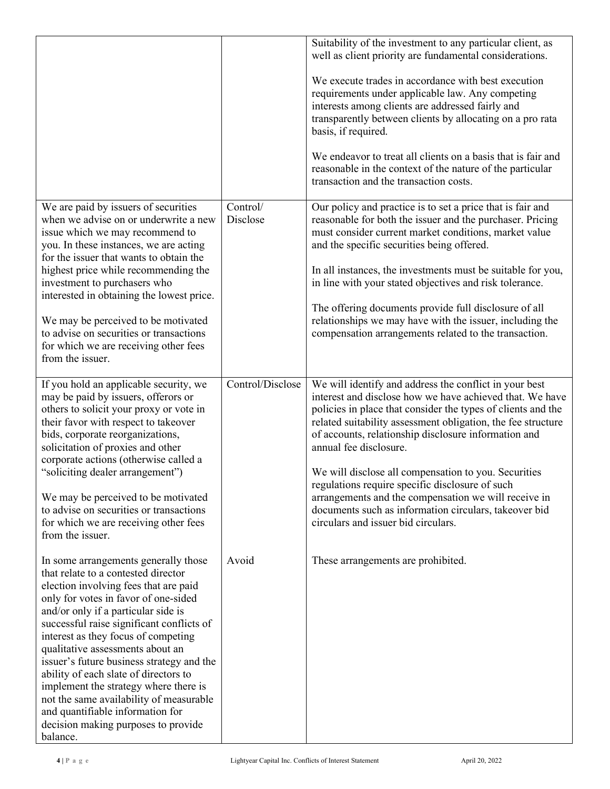|                                                                                                                                                                                                                                                                                                                                                                                                                                                                                                                                                                                              |                      | Suitability of the investment to any particular client, as<br>well as client priority are fundamental considerations.<br>We execute trades in accordance with best execution<br>requirements under applicable law. Any competing<br>interests among clients are addressed fairly and<br>transparently between clients by allocating on a pro rata<br>basis, if required.<br>We endeavor to treat all clients on a basis that is fair and<br>reasonable in the context of the nature of the particular<br>transaction and the transaction costs.                                                         |
|----------------------------------------------------------------------------------------------------------------------------------------------------------------------------------------------------------------------------------------------------------------------------------------------------------------------------------------------------------------------------------------------------------------------------------------------------------------------------------------------------------------------------------------------------------------------------------------------|----------------------|---------------------------------------------------------------------------------------------------------------------------------------------------------------------------------------------------------------------------------------------------------------------------------------------------------------------------------------------------------------------------------------------------------------------------------------------------------------------------------------------------------------------------------------------------------------------------------------------------------|
| We are paid by issuers of securities<br>when we advise on or underwrite a new<br>issue which we may recommend to<br>you. In these instances, we are acting<br>for the issuer that wants to obtain the<br>highest price while recommending the<br>investment to purchasers who<br>interested in obtaining the lowest price.<br>We may be perceived to be motivated<br>to advise on securities or transactions<br>for which we are receiving other fees<br>from the issuer.                                                                                                                    | Control/<br>Disclose | Our policy and practice is to set a price that is fair and<br>reasonable for both the issuer and the purchaser. Pricing<br>must consider current market conditions, market value<br>and the specific securities being offered.<br>In all instances, the investments must be suitable for you,<br>in line with your stated objectives and risk tolerance.<br>The offering documents provide full disclosure of all<br>relationships we may have with the issuer, including the<br>compensation arrangements related to the transaction.                                                                  |
| If you hold an applicable security, we<br>may be paid by issuers, offerors or<br>others to solicit your proxy or vote in<br>their favor with respect to takeover<br>bids, corporate reorganizations,<br>solicitation of proxies and other<br>corporate actions (otherwise called a<br>"soliciting dealer arrangement")<br>We may be perceived to be motivated<br>to advise on securities or transactions<br>for which we are receiving other fees<br>from the issuer.                                                                                                                        | Control/Disclose     | We will identify and address the conflict in your best<br>interest and disclose how we have achieved that. We have<br>policies in place that consider the types of clients and the<br>related suitability assessment obligation, the fee structure<br>of accounts, relationship disclosure information and<br>annual fee disclosure.<br>We will disclose all compensation to you. Securities<br>regulations require specific disclosure of such<br>arrangements and the compensation we will receive in<br>documents such as information circulars, takeover bid<br>circulars and issuer bid circulars. |
| In some arrangements generally those<br>that relate to a contested director<br>election involving fees that are paid<br>only for votes in favor of one-sided<br>and/or only if a particular side is<br>successful raise significant conflicts of<br>interest as they focus of competing<br>qualitative assessments about an<br>issuer's future business strategy and the<br>ability of each slate of directors to<br>implement the strategy where there is<br>not the same availability of measurable<br>and quantifiable information for<br>decision making purposes to provide<br>balance. | Avoid                | These arrangements are prohibited.                                                                                                                                                                                                                                                                                                                                                                                                                                                                                                                                                                      |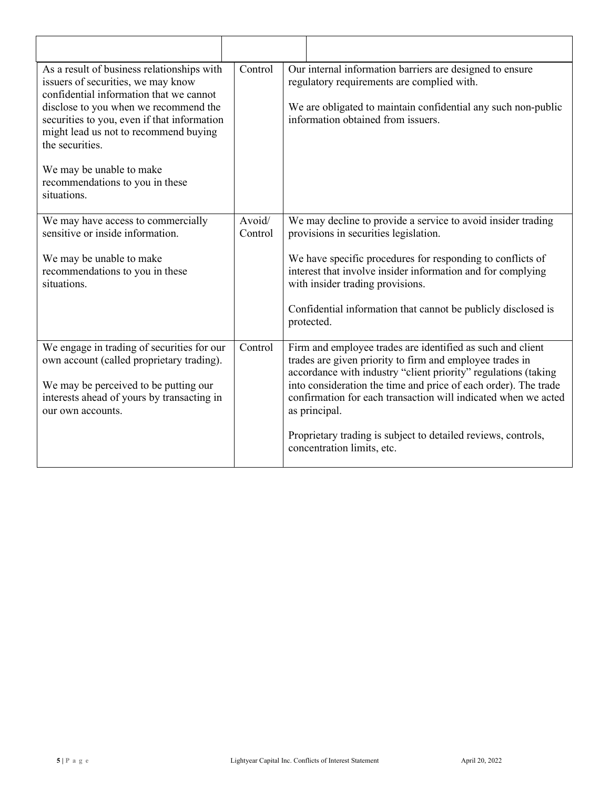| As a result of business relationships with<br>issuers of securities, we may know<br>confidential information that we cannot<br>disclose to you when we recommend the<br>securities to you, even if that information<br>might lead us not to recommend buying<br>the securities.<br>We may be unable to make<br>recommendations to you in these<br>situations. | Control           |               | Our internal information barriers are designed to ensure<br>regulatory requirements are complied with.<br>We are obligated to maintain confidential any such non-public<br>information obtained from issuers.                                                                                                                                                                                                                |
|---------------------------------------------------------------------------------------------------------------------------------------------------------------------------------------------------------------------------------------------------------------------------------------------------------------------------------------------------------------|-------------------|---------------|------------------------------------------------------------------------------------------------------------------------------------------------------------------------------------------------------------------------------------------------------------------------------------------------------------------------------------------------------------------------------------------------------------------------------|
| We may have access to commercially<br>sensitive or inside information.<br>We may be unable to make<br>recommendations to you in these<br>situations.                                                                                                                                                                                                          | Avoid/<br>Control | protected.    | We may decline to provide a service to avoid insider trading<br>provisions in securities legislation.<br>We have specific procedures for responding to conflicts of<br>interest that involve insider information and for complying<br>with insider trading provisions.<br>Confidential information that cannot be publicly disclosed is                                                                                      |
| We engage in trading of securities for our<br>own account (called proprietary trading).<br>We may be perceived to be putting our<br>interests ahead of yours by transacting in<br>our own accounts.                                                                                                                                                           | Control           | as principal. | Firm and employee trades are identified as such and client<br>trades are given priority to firm and employee trades in<br>accordance with industry "client priority" regulations (taking<br>into consideration the time and price of each order). The trade<br>confirmation for each transaction will indicated when we acted<br>Proprietary trading is subject to detailed reviews, controls,<br>concentration limits, etc. |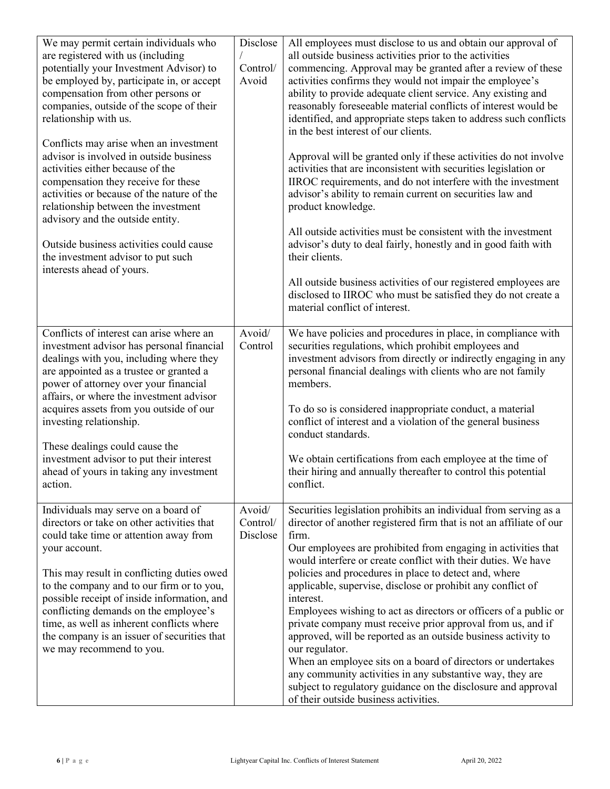| We may permit certain individuals who<br>are registered with us (including<br>potentially your Investment Advisor) to<br>be employed by, participate in, or accept<br>compensation from other persons or<br>companies, outside of the scope of their<br>relationship with us.<br>Conflicts may arise when an investment<br>advisor is involved in outside business<br>activities either because of the<br>compensation they receive for these<br>activities or because of the nature of the<br>relationship between the investment<br>advisory and the outside entity.<br>Outside business activities could cause<br>the investment advisor to put such<br>interests ahead of yours. | Disclose<br>Control/<br>Avoid  | All employees must disclose to us and obtain our approval of<br>all outside business activities prior to the activities<br>commencing. Approval may be granted after a review of these<br>activities confirms they would not impair the employee's<br>ability to provide adequate client service. Any existing and<br>reasonably foreseeable material conflicts of interest would be<br>identified, and appropriate steps taken to address such conflicts<br>in the best interest of our clients.<br>Approval will be granted only if these activities do not involve<br>activities that are inconsistent with securities legislation or<br>IIROC requirements, and do not interfere with the investment<br>advisor's ability to remain current on securities law and<br>product knowledge.<br>All outside activities must be consistent with the investment<br>advisor's duty to deal fairly, honestly and in good faith with<br>their clients.<br>All outside business activities of our registered employees are<br>disclosed to IIROC who must be satisfied they do not create a<br>material conflict of interest. |
|--------------------------------------------------------------------------------------------------------------------------------------------------------------------------------------------------------------------------------------------------------------------------------------------------------------------------------------------------------------------------------------------------------------------------------------------------------------------------------------------------------------------------------------------------------------------------------------------------------------------------------------------------------------------------------------|--------------------------------|------------------------------------------------------------------------------------------------------------------------------------------------------------------------------------------------------------------------------------------------------------------------------------------------------------------------------------------------------------------------------------------------------------------------------------------------------------------------------------------------------------------------------------------------------------------------------------------------------------------------------------------------------------------------------------------------------------------------------------------------------------------------------------------------------------------------------------------------------------------------------------------------------------------------------------------------------------------------------------------------------------------------------------------------------------------------------------------------------------------------|
| Conflicts of interest can arise where an<br>investment advisor has personal financial<br>dealings with you, including where they<br>are appointed as a trustee or granted a<br>power of attorney over your financial<br>affairs, or where the investment advisor<br>acquires assets from you outside of our<br>investing relationship.<br>These dealings could cause the<br>investment advisor to put their interest<br>ahead of yours in taking any investment<br>action.                                                                                                                                                                                                           | Avoid/<br>Control              | We have policies and procedures in place, in compliance with<br>securities regulations, which prohibit employees and<br>investment advisors from directly or indirectly engaging in any<br>personal financial dealings with clients who are not family<br>members.<br>To do so is considered inappropriate conduct, a material<br>conflict of interest and a violation of the general business<br>conduct standards.<br>We obtain certifications from each employee at the time of<br>their hiring and annually thereafter to control this potential<br>conflict.                                                                                                                                                                                                                                                                                                                                                                                                                                                                                                                                                      |
| Individuals may serve on a board of<br>directors or take on other activities that<br>could take time or attention away from<br>your account.<br>This may result in conflicting duties owed<br>to the company and to our firm or to you,<br>possible receipt of inside information, and<br>conflicting demands on the employee's<br>time, as well as inherent conflicts where<br>the company is an issuer of securities that<br>we may recommend to you.                                                                                                                                                                                                                              | Avoid/<br>Control/<br>Disclose | Securities legislation prohibits an individual from serving as a<br>director of another registered firm that is not an affiliate of our<br>firm.<br>Our employees are prohibited from engaging in activities that<br>would interfere or create conflict with their duties. We have<br>policies and procedures in place to detect and, where<br>applicable, supervise, disclose or prohibit any conflict of<br>interest.<br>Employees wishing to act as directors or officers of a public or<br>private company must receive prior approval from us, and if<br>approved, will be reported as an outside business activity to<br>our regulator.<br>When an employee sits on a board of directors or undertakes<br>any community activities in any substantive way, they are<br>subject to regulatory guidance on the disclosure and approval<br>of their outside business activities.                                                                                                                                                                                                                                    |